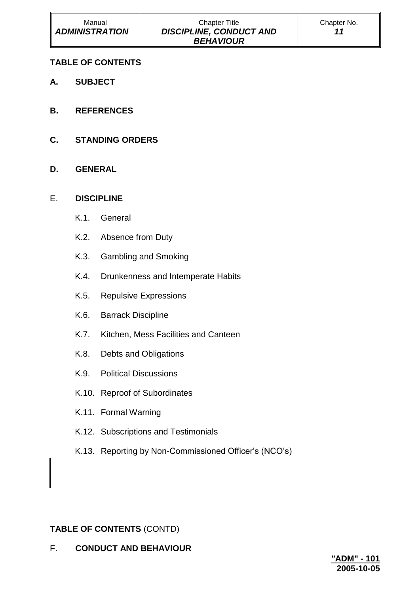# **TABLE OF CONTENTS**

- **A. SUBJECT**
- **B. REFERENCES**
- **C. STANDING ORDERS**
- **D. GENERAL**

# E. **DISCIPLINE**

- K.1. General
- K.2. Absence from Duty
- K.3. Gambling and Smoking
- K.4. Drunkenness and Intemperate Habits
- K.5. Repulsive Expressions
- K.6. Barrack Discipline
- K.7. Kitchen, Mess Facilities and Canteen
- K.8. Debts and Obligations
- K.9. Political Discussions
- K.10. Reproof of Subordinates
- K.11. Formal Warning
- K.12. Subscriptions and Testimonials
- K.13. Reporting by Non-Commissioned Officer's (NCO's)

# **TABLE OF CONTENTS** (CONTD)

F. **CONDUCT AND BEHAVIOUR**

| "ADM" - 101 |  |  |
|-------------|--|--|
| 2005-10-05  |  |  |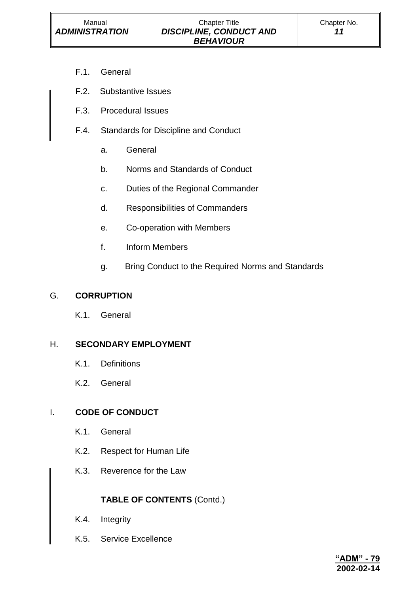- F.1. General
- F.2. Substantive Issues
- F.3. Procedural Issues
- F.4. Standards for Discipline and Conduct
	- a. General
	- b. Norms and Standards of Conduct
	- c. Duties of the Regional Commander
	- d. Responsibilities of Commanders
	- e. Co-operation with Members
	- f. Inform Members
	- g. Bring Conduct to the Required Norms and Standards

#### G. **CORRUPTION**

K.1. General

#### H. **SECONDARY EMPLOYMENT**

- K.1. Definitions
- K.2. General

# I. **CODE OF CONDUCT**

- K.1. General
- K.2. Respect for Human Life
- K.3. Reverence for the Law

# **TABLE OF CONTENTS** (Contd.)

- K.4. Integrity
- K.5. Service Excellence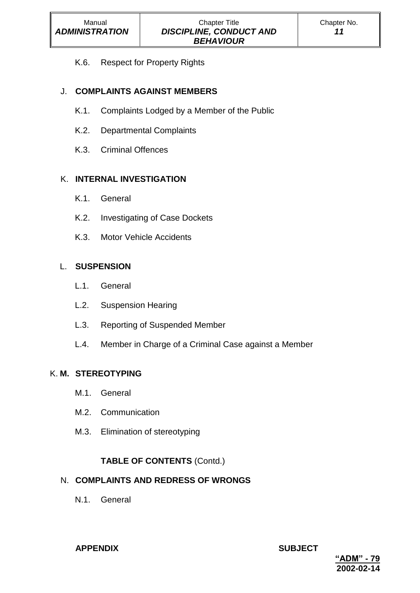K.6. Respect for Property Rights

# J. **COMPLAINTS AGAINST MEMBERS**

- K.1. Complaints Lodged by a Member of the Public
- K.2. Departmental Complaints
- K.3. Criminal Offences

# K. **INTERNAL INVESTIGATION**

- K.1. General
- K.2. Investigating of Case Dockets
- K.3. Motor Vehicle Accidents

# L. **SUSPENSION**

- L.1. General
- L.2. Suspension Hearing
- L.3. Reporting of Suspended Member
- L.4. Member in Charge of a Criminal Case against a Member

### K. **M. STEREOTYPING**

- M.1. General
- M.2. Communication
- M.3. Elimination of stereotyping

# **TABLE OF CONTENTS** (Contd.)

# N. **COMPLAINTS AND REDRESS OF WRONGS**

N.1. General

### **APPENDIX SUBJECT**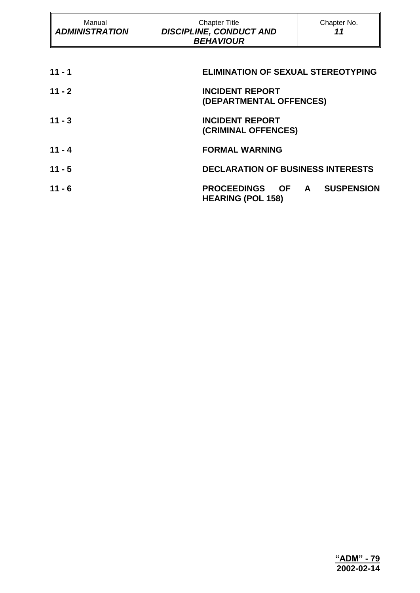| Manual<br><b>ADMINISTRATION</b> | <b>Chapter Title</b><br><b>DISCIPLINE, CONDUCT AND</b><br><b>BEHAVIOUR</b> | Chapter No.<br>11                 |
|---------------------------------|----------------------------------------------------------------------------|-----------------------------------|
| $11 - 1$                        | <b>ELIMINATION OF SEXUAL STEREOTYPING</b>                                  |                                   |
| $11 - 2$                        | <b>INCIDENT REPORT</b><br>(DEPARTMENTAL OFFENCES)                          |                                   |
| $11 - 3$                        | <b>INCIDENT REPORT</b><br>(CRIMINAL OFFENCES)                              |                                   |
| $11 - 4$                        | <b>FORMAL WARNING</b>                                                      |                                   |
| $11 - 5$                        | <b>DECLARATION OF BUSINESS INTERESTS</b>                                   |                                   |
| $11 - 6$                        | <b>PROCEEDINGS OF</b><br><b>HEARING (POL 158)</b>                          | <b>SUSPENSION</b><br>$\mathsf{A}$ |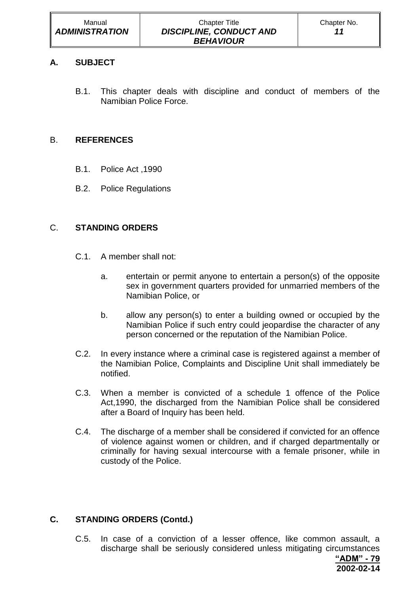# **A. SUBJECT**

B.1. This chapter deals with discipline and conduct of members of the Namibian Police Force.

# B. **REFERENCES**

- B.1. Police Act ,1990
- B.2. Police Regulations

# C. **STANDING ORDERS**

- C.1. A member shall not:
	- a. entertain or permit anyone to entertain a person(s) of the opposite sex in government quarters provided for unmarried members of the Namibian Police, or
	- b. allow any person(s) to enter a building owned or occupied by the Namibian Police if such entry could jeopardise the character of any person concerned or the reputation of the Namibian Police.
- C.2. In every instance where a criminal case is registered against a member of the Namibian Police, Complaints and Discipline Unit shall immediately be notified.
- C.3. When a member is convicted of a schedule 1 offence of the Police Act,1990, the discharged from the Namibian Police shall be considered after a Board of Inquiry has been held.
- C.4. The discharge of a member shall be considered if convicted for an offence of violence against women or children, and if charged departmentally or criminally for having sexual intercourse with a female prisoner, while in custody of the Police.

# **C. STANDING ORDERS (Contd.)**

C.5. In case of a conviction of a lesser offence, like common assault, a discharge shall be seriously considered unless mitigating circumstances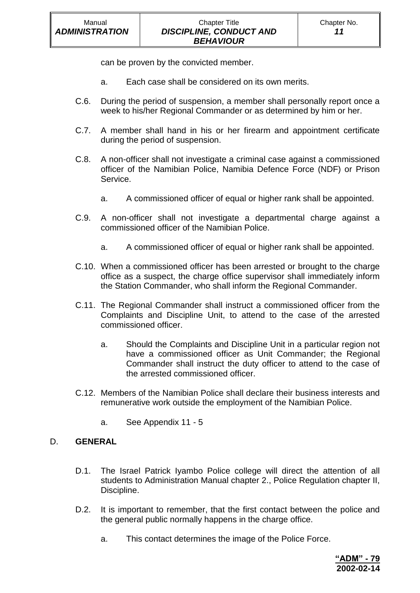can be proven by the convicted member.

- a. Each case shall be considered on its own merits.
- C.6. During the period of suspension, a member shall personally report once a week to his/her Regional Commander or as determined by him or her.
- C.7. A member shall hand in his or her firearm and appointment certificate during the period of suspension.
- C.8. A non-officer shall not investigate a criminal case against a commissioned officer of the Namibian Police, Namibia Defence Force (NDF) or Prison Service.
	- a. A commissioned officer of equal or higher rank shall be appointed.
- C.9. A non-officer shall not investigate a departmental charge against a commissioned officer of the Namibian Police.
	- a. A commissioned officer of equal or higher rank shall be appointed.
- C.10. When a commissioned officer has been arrested or brought to the charge office as a suspect, the charge office supervisor shall immediately inform the Station Commander, who shall inform the Regional Commander.
- C.11. The Regional Commander shall instruct a commissioned officer from the Complaints and Discipline Unit, to attend to the case of the arrested commissioned officer.
	- a. Should the Complaints and Discipline Unit in a particular region not have a commissioned officer as Unit Commander; the Regional Commander shall instruct the duty officer to attend to the case of the arrested commissioned officer.
- C.12. Members of the Namibian Police shall declare their business interests and remunerative work outside the employment of the Namibian Police.
	- a. See Appendix 11 5

### D. **GENERAL**

- D.1. The Israel Patrick Iyambo Police college will direct the attention of all students to Administration Manual chapter 2., Police Regulation chapter II, Discipline.
- D.2. It is important to remember, that the first contact between the police and the general public normally happens in the charge office.
	- a. This contact determines the image of the Police Force.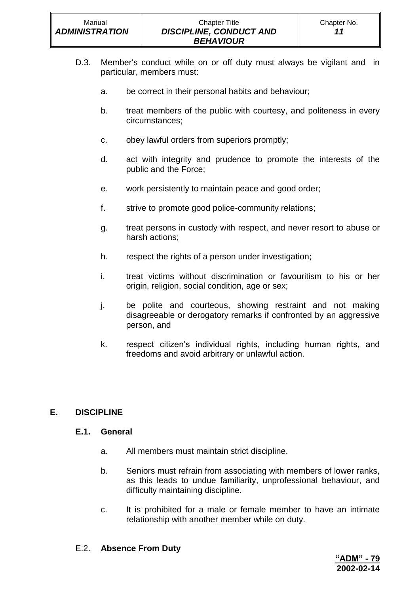- D.3. Member's conduct while on or off duty must always be vigilant and in particular, members must:
	- a. be correct in their personal habits and behaviour;
	- b. treat members of the public with courtesy, and politeness in every circumstances;
	- c. obey lawful orders from superiors promptly;
	- d. act with integrity and prudence to promote the interests of the public and the Force;
	- e. work persistently to maintain peace and good order;
	- f. strive to promote good police-community relations;
	- g. treat persons in custody with respect, and never resort to abuse or harsh actions;
	- h. respect the rights of a person under investigation;
	- i. treat victims without discrimination or favouritism to his or her origin, religion, social condition, age or sex;
	- j. be polite and courteous, showing restraint and not making disagreeable or derogatory remarks if confronted by an aggressive person, and
	- k. respect citizen's individual rights, including human rights, and freedoms and avoid arbitrary or unlawful action.

# **E. DISCIPLINE**

#### **E.1. General**

- a. All members must maintain strict discipline.
- b. Seniors must refrain from associating with members of lower ranks, as this leads to undue familiarity, unprofessional behaviour, and difficulty maintaining discipline.
- c. It is prohibited for a male or female member to have an intimate relationship with another member while on duty.
- E.2. **Absence From Duty**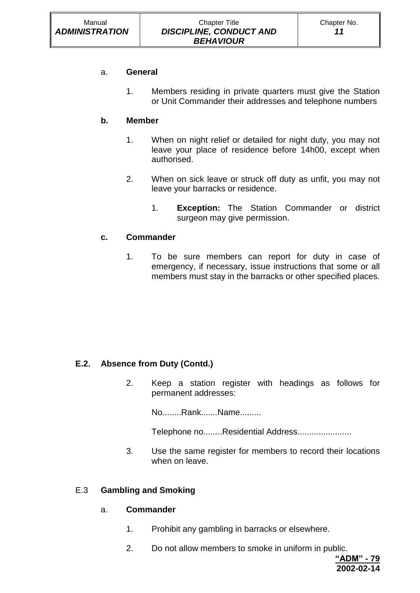# a. **General**

1. Members residing in private quarters must give the Station or Unit Commander their addresses and telephone numbers

# **b. Member**

- 1. When on night relief or detailed for night duty, you may not leave your place of residence before 14h00, except when authorised.
- 2. When on sick leave or struck off duty as unfit, you may not leave your barracks or residence.
	- 1. **Exception:** The Station Commander or district surgeon may give permission.

# **c. Commander**

1. To be sure members can report for duty in case of emergency, if necessary, issue instructions that some or all members must stay in the barracks or other specified places.

# **E.2. Absence from Duty (Contd.)**

2. Keep a station register with headings as follows for permanent addresses:

No........Rank.......Name.........

Telephone no........Residential Address.......................

3. Use the same register for members to record their locations when on leave.

### E.3 **Gambling and Smoking**

### a. **Commander**

- 1. Prohibit any gambling in barracks or elsewhere.
- 2. Do not allow members to smoke in uniform in public.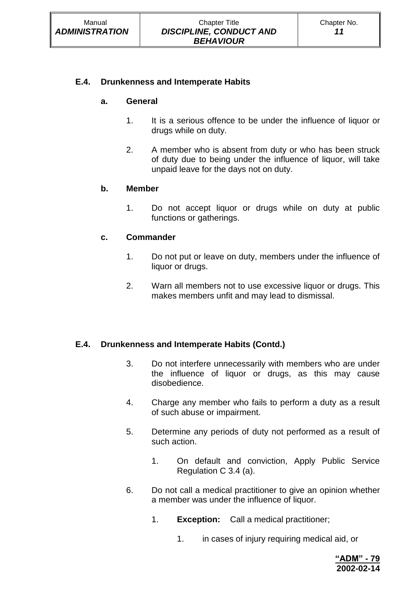### **E.4. Drunkenness and Intemperate Habits**

#### **a. General**

- 1. It is a serious offence to be under the influence of liquor or drugs while on duty.
- 2. A member who is absent from duty or who has been struck of duty due to being under the influence of liquor, will take unpaid leave for the days not on duty.

#### **b. Member**

1. Do not accept liquor or drugs while on duty at public functions or gatherings.

#### **c. Commander**

- 1. Do not put or leave on duty, members under the influence of liquor or drugs.
- 2. Warn all members not to use excessive liquor or drugs. This makes members unfit and may lead to dismissal.

### **E.4. Drunkenness and Intemperate Habits (Contd.)**

- 3. Do not interfere unnecessarily with members who are under the influence of liquor or drugs, as this may cause disobedience.
- 4. Charge any member who fails to perform a duty as a result of such abuse or impairment.
- 5. Determine any periods of duty not performed as a result of such action.
	- 1. On default and conviction, Apply Public Service Regulation C 3.4 (a).
- 6. Do not call a medical practitioner to give an opinion whether a member was under the influence of liquor.
	- 1. **Exception:** Call a medical practitioner;
		- 1. in cases of injury requiring medical aid, or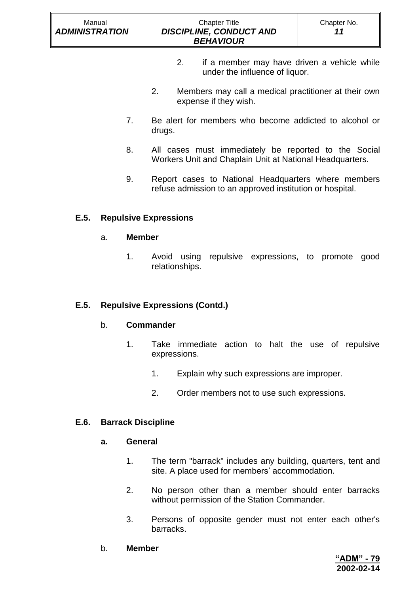### Chapter Title *DISCIPLINE, CONDUCT AND BEHAVIOUR*

- 2. if a member may have driven a vehicle while under the influence of liquor.
- 2. Members may call a medical practitioner at their own expense if they wish.
- 7. Be alert for members who become addicted to alcohol or drugs.
- 8. All cases must immediately be reported to the Social Workers Unit and Chaplain Unit at National Headquarters.
- 9. Report cases to National Headquarters where members refuse admission to an approved institution or hospital.

# **E.5. Repulsive Expressions**

### a. **Member**

1. Avoid using repulsive expressions, to promote good relationships.

### **E.5. Repulsive Expressions (Contd.)**

### b. **Commander**

- 1. Take immediate action to halt the use of repulsive expressions.
	- 1. Explain why such expressions are improper.
	- 2. Order members not to use such expressions.

### **E.6. Barrack Discipline**

#### **a. General**

- 1. The term "barrack" includes any building, quarters, tent and site. A place used for members' accommodation.
- 2. No person other than a member should enter barracks without permission of the Station Commander.
- 3. Persons of opposite gender must not enter each other's barracks.
- b. **Member**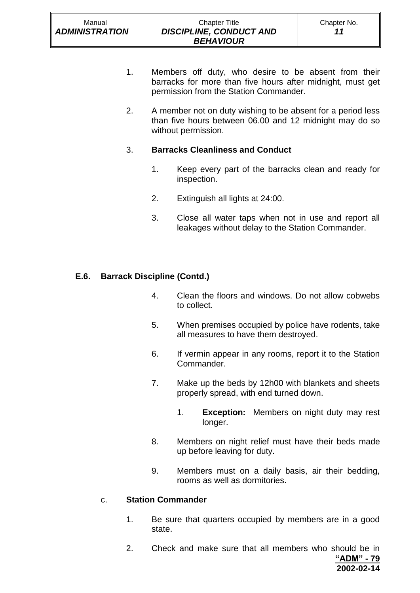- 1. Members off duty, who desire to be absent from their barracks for more than five hours after midnight, must get permission from the Station Commander.
- 2. A member not on duty wishing to be absent for a period less than five hours between 06.00 and 12 midnight may do so without permission.

# 3. **Barracks Cleanliness and Conduct**

- 1. Keep every part of the barracks clean and ready for inspection.
- 2. Extinguish all lights at 24:00.
- 3. Close all water taps when not in use and report all leakages without delay to the Station Commander.

# **E.6. Barrack Discipline (Contd.)**

- 4. Clean the floors and windows. Do not allow cobwebs to collect.
- 5. When premises occupied by police have rodents, take all measures to have them destroyed.
- 6. If vermin appear in any rooms, report it to the Station Commander.
- 7. Make up the beds by 12h00 with blankets and sheets properly spread, with end turned down.
	- 1. **Exception:** Members on night duty may rest longer.
- 8. Members on night relief must have their beds made up before leaving for duty.
- 9. Members must on a daily basis, air their bedding, rooms as well as dormitories.

### c. **Station Commander**

- 1. Be sure that quarters occupied by members are in a good state.
- **"ADM" - 79 2002-02-14** 2. Check and make sure that all members who should be in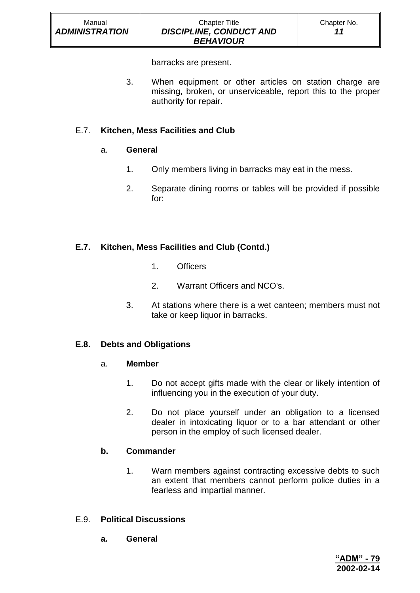barracks are present.

3. When equipment or other articles on station charge are missing, broken, or unserviceable, report this to the proper authority for repair.

# E.7. **Kitchen, Mess Facilities and Club**

### a. **General**

- 1. Only members living in barracks may eat in the mess.
- 2. Separate dining rooms or tables will be provided if possible for:

# **E.7. Kitchen, Mess Facilities and Club (Contd.)**

- 1. Officers
- 2. Warrant Officers and NCO's.
- 3. At stations where there is a wet canteen; members must not take or keep liquor in barracks.

# **E.8. Debts and Obligations**

### a. **Member**

- 1. Do not accept gifts made with the clear or likely intention of influencing you in the execution of your duty.
- 2. Do not place yourself under an obligation to a licensed dealer in intoxicating liquor or to a bar attendant or other person in the employ of such licensed dealer.

# **b. Commander**

1. Warn members against contracting excessive debts to such an extent that members cannot perform police duties in a fearless and impartial manner.

# E.9. **Political Discussions**

**a. General**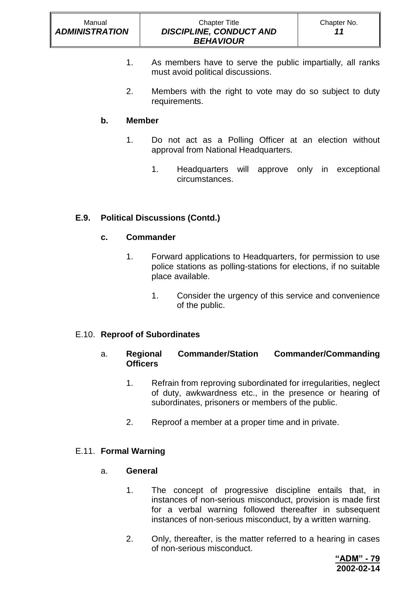- 1. As members have to serve the public impartially, all ranks must avoid political discussions.
- 2. Members with the right to vote may do so subject to duty requirements.

# **b. Member**

- 1. Do not act as a Polling Officer at an election without approval from National Headquarters.
	- 1. Headquarters will approve only in exceptional circumstances.

# **E.9. Political Discussions (Contd.)**

# **c. Commander**

- 1. Forward applications to Headquarters, for permission to use police stations as polling-stations for elections, if no suitable place available.
	- 1. Consider the urgency of this service and convenience of the public.

# E.10. **Reproof of Subordinates**

- a. **Regional Commander/Station Commander/Commanding Officers**
	- 1. Refrain from reproving subordinated for irregularities, neglect of duty, awkwardness etc., in the presence or hearing of subordinates, prisoners or members of the public.
	- 2. Reproof a member at a proper time and in private.

# E.11. **Formal Warning**

### a. **General**

- 1. The concept of progressive discipline entails that, in instances of non-serious misconduct, provision is made first for a verbal warning followed thereafter in subsequent instances of non-serious misconduct, by a written warning.
- 2. Only, thereafter, is the matter referred to a hearing in cases of non-serious misconduct.

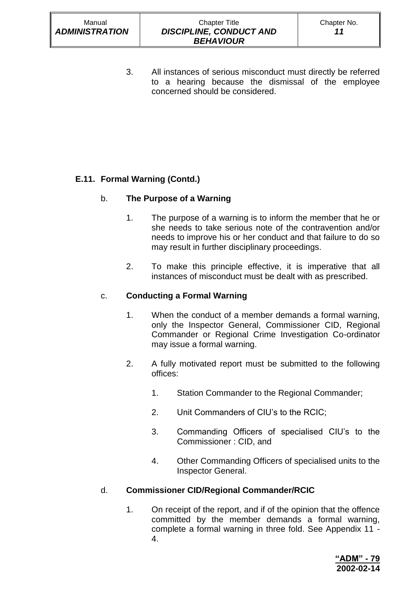#### Chapter Title *DISCIPLINE, CONDUCT AND BEHAVIOUR*

3. All instances of serious misconduct must directly be referred to a hearing because the dismissal of the employee concerned should be considered.

# **E.11. Formal Warning (Contd.)**

# b. **The Purpose of a Warning**

- 1. The purpose of a warning is to inform the member that he or she needs to take serious note of the contravention and/or needs to improve his or her conduct and that failure to do so may result in further disciplinary proceedings.
- 2. To make this principle effective, it is imperative that all instances of misconduct must be dealt with as prescribed.

# c. **Conducting a Formal Warning**

- 1. When the conduct of a member demands a formal warning, only the Inspector General, Commissioner CID, Regional Commander or Regional Crime Investigation Co-ordinator may issue a formal warning.
- 2. A fully motivated report must be submitted to the following offices:
	- 1. Station Commander to the Regional Commander;
	- 2. Unit Commanders of CIU's to the RCIC;
	- 3. Commanding Officers of specialised CIU's to the Commissioner : CID, and
	- 4. Other Commanding Officers of specialised units to the Inspector General.

# d. **Commissioner CID/Regional Commander/RCIC**

1. On receipt of the report, and if of the opinion that the offence committed by the member demands a formal warning, complete a formal warning in three fold. See Appendix 11 - 4.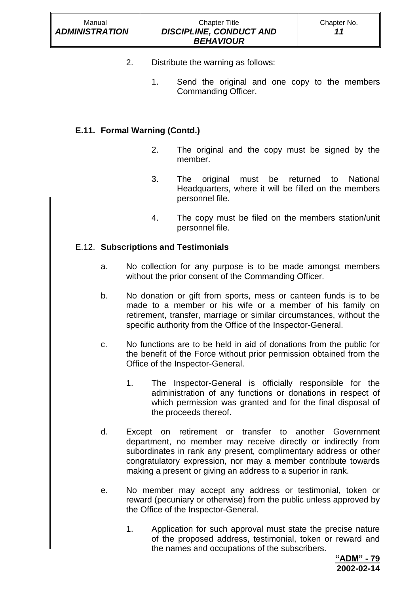- 2. Distribute the warning as follows:
	- 1. Send the original and one copy to the members Commanding Officer.

# **E.11. Formal Warning (Contd.)**

- 2. The original and the copy must be signed by the member.
- 3. The original must be returned to National Headquarters, where it will be filled on the members personnel file.
- 4. The copy must be filed on the members station/unit personnel file.

### E.12. **Subscriptions and Testimonials**

- a. No collection for any purpose is to be made amongst members without the prior consent of the Commanding Officer.
- b. No donation or gift from sports, mess or canteen funds is to be made to a member or his wife or a member of his family on retirement, transfer, marriage or similar circumstances, without the specific authority from the Office of the Inspector-General.
- c. No functions are to be held in aid of donations from the public for the benefit of the Force without prior permission obtained from the Office of the Inspector-General.
	- 1. The Inspector-General is officially responsible for the administration of any functions or donations in respect of which permission was granted and for the final disposal of the proceeds thereof.
- d. Except on retirement or transfer to another Government department, no member may receive directly or indirectly from subordinates in rank any present, complimentary address or other congratulatory expression, nor may a member contribute towards making a present or giving an address to a superior in rank.
- e. No member may accept any address or testimonial, token or reward (pecuniary or otherwise) from the public unless approved by the Office of the Inspector-General.
	- 1. Application for such approval must state the precise nature of the proposed address, testimonial, token or reward and the names and occupations of the subscribers.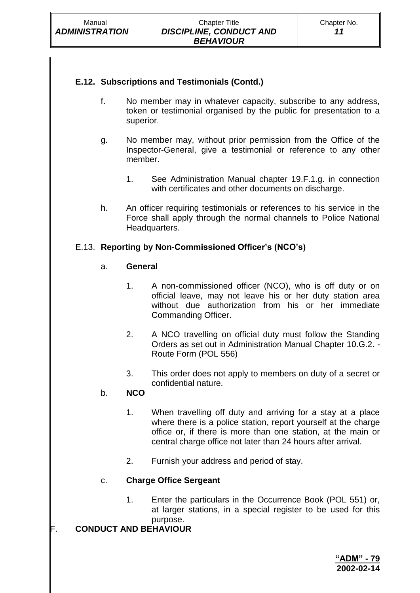# **E.12. Subscriptions and Testimonials (Contd.)**

- f. No member may in whatever capacity, subscribe to any address, token or testimonial organised by the public for presentation to a superior.
- g. No member may, without prior permission from the Office of the Inspector-General, give a testimonial or reference to any other member.
	- 1. See Administration Manual chapter 19.F.1.g. in connection with certificates and other documents on discharge.
- h. An officer requiring testimonials or references to his service in the Force shall apply through the normal channels to Police National Headquarters.

# E.13. **Reporting by Non-Commissioned Officer's (NCO's)**

### a. **General**

- 1. A non-commissioned officer (NCO), who is off duty or on official leave, may not leave his or her duty station area without due authorization from his or her immediate Commanding Officer.
- 2. A NCO travelling on official duty must follow the Standing Orders as set out in Administration Manual Chapter 10.G.2. - Route Form (POL 556)
- 3. This order does not apply to members on duty of a secret or confidential nature.

### b. **NCO**

- 1. When travelling off duty and arriving for a stay at a place where there is a police station, report yourself at the charge office or, if there is more than one station, at the main or central charge office not later than 24 hours after arrival.
- 2. Furnish your address and period of stay.

# c. **Charge Office Sergeant**

1. Enter the particulars in the Occurrence Book (POL 551) or, at larger stations, in a special register to be used for this purpose.

### F. **CONDUCT AND BEHAVIOUR**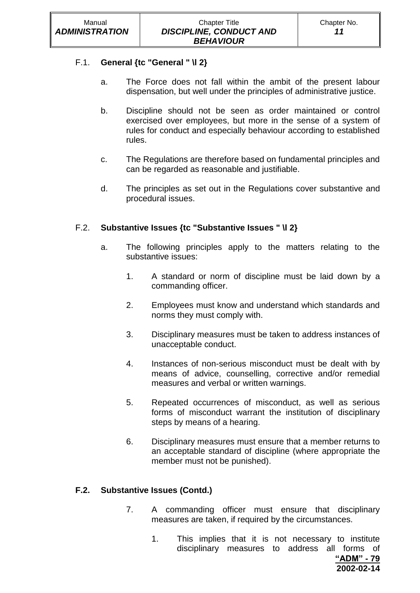### F.1. **General {tc "General " \l 2}**

- a. The Force does not fall within the ambit of the present labour dispensation, but well under the principles of administrative justice.
- b. Discipline should not be seen as order maintained or control exercised over employees, but more in the sense of a system of rules for conduct and especially behaviour according to established rules.
- c. The Regulations are therefore based on fundamental principles and can be regarded as reasonable and justifiable.
- d. The principles as set out in the Regulations cover substantive and procedural issues.

# F.2. **Substantive Issues {tc "Substantive Issues " \l 2}**

- a. The following principles apply to the matters relating to the substantive issues:
	- 1. A standard or norm of discipline must be laid down by a commanding officer.
	- 2. Employees must know and understand which standards and norms they must comply with.
	- 3. Disciplinary measures must be taken to address instances of unacceptable conduct.
	- 4. Instances of non-serious misconduct must be dealt with by means of advice, counselling, corrective and/or remedial measures and verbal or written warnings.
	- 5. Repeated occurrences of misconduct, as well as serious forms of misconduct warrant the institution of disciplinary steps by means of a hearing.
	- 6. Disciplinary measures must ensure that a member returns to an acceptable standard of discipline (where appropriate the member must not be punished).

### **F.2. Substantive Issues (Contd.)**

- 7. A commanding officer must ensure that disciplinary measures are taken, if required by the circumstances.
	- 1. This implies that it is not necessary to institute disciplinary measures to address all forms of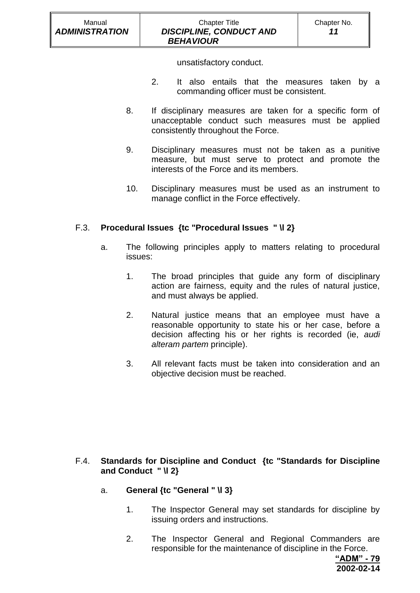#### Chapter Title *DISCIPLINE, CONDUCT AND BEHAVIOUR*

unsatisfactory conduct.

- 2. It also entails that the measures taken by a commanding officer must be consistent.
- 8. If disciplinary measures are taken for a specific form of unacceptable conduct such measures must be applied consistently throughout the Force.
- 9. Disciplinary measures must not be taken as a punitive measure, but must serve to protect and promote the interests of the Force and its members.
- 10. Disciplinary measures must be used as an instrument to manage conflict in the Force effectively.

# F.3. **Procedural Issues {tc "Procedural Issues " \l 2}**

- a. The following principles apply to matters relating to procedural issues:
	- 1. The broad principles that guide any form of disciplinary action are fairness, equity and the rules of natural justice, and must always be applied.
	- 2. Natural justice means that an employee must have a reasonable opportunity to state his or her case, before a decision affecting his or her rights is recorded (ie, *audi alteram partem* principle).
	- 3. All relevant facts must be taken into consideration and an objective decision must be reached.

# F.4. **Standards for Discipline and Conduct {tc "Standards for Discipline and Conduct " \l 2}**

- a. **General {tc "General " \l 3}**
	- 1. The Inspector General may set standards for discipline by issuing orders and instructions.
	- 2. The Inspector General and Regional Commanders are responsible for the maintenance of discipline in the Force.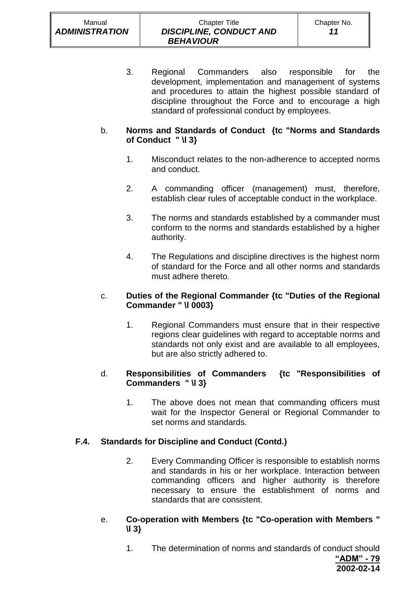#### Chapter Title *DISCIPLINE, CONDUCT AND BEHAVIOUR*

3. Regional Commanders also responsible for the development, implementation and management of systems and procedures to attain the highest possible standard of discipline throughout the Force and to encourage a high standard of professional conduct by employees.

# b. **Norms and Standards of Conduct {tc "Norms and Standards of Conduct " \l 3}**

- 1. Misconduct relates to the non-adherence to accepted norms and conduct.
- 2. A commanding officer (management) must, therefore, establish clear rules of acceptable conduct in the workplace.
- 3. The norms and standards established by a commander must conform to the norms and standards established by a higher authority.
- 4. The Regulations and discipline directives is the highest norm of standard for the Force and all other norms and standards must adhere thereto.

# c. **Duties of the Regional Commander {tc "Duties of the Regional Commander " \l 0003}**

1. Regional Commanders must ensure that in their respective regions clear guidelines with regard to acceptable norms and standards not only exist and are available to all employees, but are also strictly adhered to.

# d. **Responsibilities of Commanders {tc "Responsibilities of Commanders " \l 3}**

1. The above does not mean that commanding officers must wait for the Inspector General or Regional Commander to set norms and standards.

# **F.4. Standards for Discipline and Conduct (Contd.)**

- 2. Every Commanding Officer is responsible to establish norms and standards in his or her workplace. Interaction between commanding officers and higher authority is therefore necessary to ensure the establishment of norms and standards that are consistent.
- e. **Co-operation with Members {tc "Co-operation with Members " \l 3}**
	- **"ADM" - 79 2002-02-14** 1. The determination of norms and standards of conduct should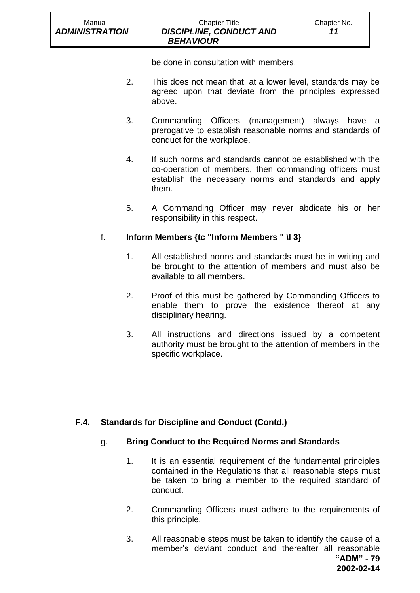be done in consultation with members.

 *BEHAVIOUR*

- 2. This does not mean that, at a lower level, standards may be agreed upon that deviate from the principles expressed above.
- 3. Commanding Officers (management) always have a prerogative to establish reasonable norms and standards of conduct for the workplace.
- 4. If such norms and standards cannot be established with the co-operation of members, then commanding officers must establish the necessary norms and standards and apply them.
- 5. A Commanding Officer may never abdicate his or her responsibility in this respect.

# f. **Inform Members {tc "Inform Members " \l 3}**

- 1. All established norms and standards must be in writing and be brought to the attention of members and must also be available to all members.
- 2. Proof of this must be gathered by Commanding Officers to enable them to prove the existence thereof at any disciplinary hearing.
- 3. All instructions and directions issued by a competent authority must be brought to the attention of members in the specific workplace.

# **F.4. Standards for Discipline and Conduct (Contd.)**

# g. **Bring Conduct to the Required Norms and Standards**

- 1. It is an essential requirement of the fundamental principles contained in the Regulations that all reasonable steps must be taken to bring a member to the required standard of conduct.
- 2. Commanding Officers must adhere to the requirements of this principle.
- 3. All reasonable steps must be taken to identify the cause of a member's deviant conduct and thereafter all reasonable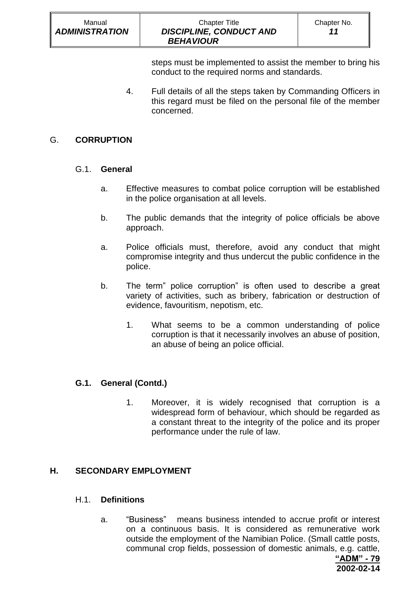| Manual<br><b>ADMINISTRATION</b> | <b>Chapter Title</b><br><b>DISCIPLINE, CONDUCT AND</b><br><b>BEHAVIOUR</b> | Chapter No.<br>11 |
|---------------------------------|----------------------------------------------------------------------------|-------------------|
|                                 |                                                                            |                   |

steps must be implemented to assist the member to bring his conduct to the required norms and standards.

4. Full details of all the steps taken by Commanding Officers in this regard must be filed on the personal file of the member concerned.

### G. **CORRUPTION**

### G.1. **General**

- a. Effective measures to combat police corruption will be established in the police organisation at all levels.
- b. The public demands that the integrity of police officials be above approach.
- a. Police officials must, therefore, avoid any conduct that might compromise integrity and thus undercut the public confidence in the police.
- b. The term" police corruption" is often used to describe a great variety of activities, such as bribery, fabrication or destruction of evidence, favouritism, nepotism, etc.
	- 1. What seems to be a common understanding of police corruption is that it necessarily involves an abuse of position, an abuse of being an police official.

# **G.1. General (Contd.)**

1. Moreover, it is widely recognised that corruption is a widespread form of behaviour, which should be regarded as a constant threat to the integrity of the police and its proper performance under the rule of law.

### **H. SECONDARY EMPLOYMENT**

### H.1. **Definitions**

a. "Business" means business intended to accrue profit or interest on a continuous basis. It is considered as remunerative work outside the employment of the Namibian Police. (Small cattle posts, communal crop fields, possession of domestic animals, e.g. cattle,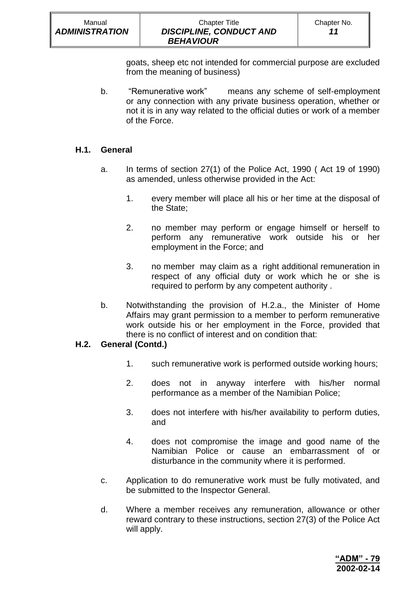| Manual                | <b>Chapter Title</b>           | Chapter No. |
|-----------------------|--------------------------------|-------------|
| <b>ADMINISTRATION</b> | <b>DISCIPLINE, CONDUCT AND</b> | 11          |
|                       | <b>BEHAVIOUR</b>               |             |

goats, sheep etc not intended for commercial purpose are excluded from the meaning of business)

b. "Remunerative work" means any scheme of self-employment or any connection with any private business operation, whether or not it is in any way related to the official duties or work of a member of the Force.

#### **H.1. General**

- a. In terms of section 27(1) of the Police Act, 1990 ( Act 19 of 1990) as amended, unless otherwise provided in the Act:
	- 1. every member will place all his or her time at the disposal of the State;
	- 2. no member may perform or engage himself or herself to perform any remunerative work outside his or her employment in the Force; and
	- 3. no member may claim as a right additional remuneration in respect of any official duty or work which he or she is required to perform by any competent authority .
- b. Notwithstanding the provision of H.2.a., the Minister of Home Affairs may grant permission to a member to perform remunerative work outside his or her employment in the Force, provided that there is no conflict of interest and on condition that:

#### **H.2. General (Contd.)**

- 1. such remunerative work is performed outside working hours;
- 2. does not in anyway interfere with his/her normal performance as a member of the Namibian Police;
- 3. does not interfere with his/her availability to perform duties, and
- 4. does not compromise the image and good name of the Namibian Police or cause an embarrassment of or disturbance in the community where it is performed.
- c. Application to do remunerative work must be fully motivated, and be submitted to the Inspector General.
- d. Where a member receives any remuneration, allowance or other reward contrary to these instructions, section 27(3) of the Police Act will apply.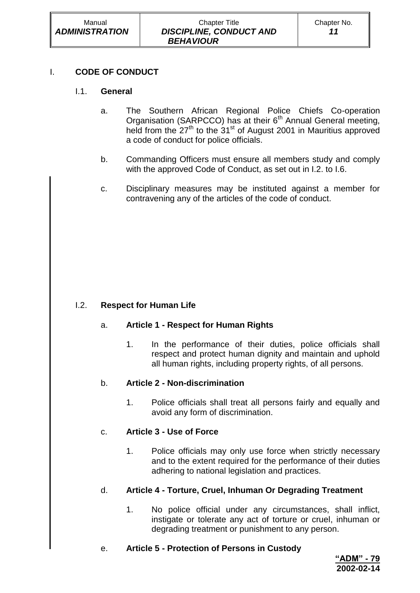# I. **CODE OF CONDUCT**

# I.1. **General**

- a. The Southern African Regional Police Chiefs Co-operation Organisation (SARPCCO) has at their  $6<sup>th</sup>$  Annual General meeting, held from the  $27<sup>th</sup>$  to the  $31<sup>st</sup>$  of August 2001 in Mauritius approved a code of conduct for police officials.
- b. Commanding Officers must ensure all members study and comply with the approved Code of Conduct, as set out in I.2. to I.6.
- c. Disciplinary measures may be instituted against a member for contravening any of the articles of the code of conduct.

# I.2. **Respect for Human Life**

# a. **Article 1 - Respect for Human Rights**

1. In the performance of their duties, police officials shall respect and protect human dignity and maintain and uphold all human rights, including property rights, of all persons.

# b. **Article 2 - Non-discrimination**

1. Police officials shall treat all persons fairly and equally and avoid any form of discrimination.

# c. **Article 3 - Use of Force**

1. Police officials may only use force when strictly necessary and to the extent required for the performance of their duties adhering to national legislation and practices.

# d. **Article 4 - Torture, Cruel, Inhuman Or Degrading Treatment**

- 1. No police official under any circumstances, shall inflict, instigate or tolerate any act of torture or cruel, inhuman or degrading treatment or punishment to any person.
- e. **Article 5 - Protection of Persons in Custody**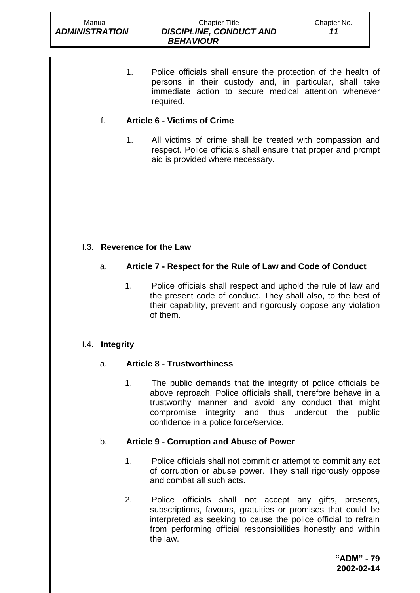#### Chapter Title *DISCIPLINE, CONDUCT AND BEHAVIOUR*

1. Police officials shall ensure the protection of the health of persons in their custody and, in particular, shall take immediate action to secure medical attention whenever required.

# f. **Article 6 - Victims of Crime**

1. All victims of crime shall be treated with compassion and respect. Police officials shall ensure that proper and prompt aid is provided where necessary.

# I.3. **Reverence for the Law**

# a. **Article 7 - Respect for the Rule of Law and Code of Conduct**

1. Police officials shall respect and uphold the rule of law and the present code of conduct. They shall also, to the best of their capability, prevent and rigorously oppose any violation of them.

# I.4. **Integrity**

# a. **Article 8 - Trustworthiness**

1. The public demands that the integrity of police officials be above reproach. Police officials shall, therefore behave in a trustworthy manner and avoid any conduct that might compromise integrity and thus undercut the public confidence in a police force/service.

# b. **Article 9 - Corruption and Abuse of Power**

- 1. Police officials shall not commit or attempt to commit any act of corruption or abuse power. They shall rigorously oppose and combat all such acts.
- 2. Police officials shall not accept any gifts, presents, subscriptions, favours, gratuities or promises that could be interpreted as seeking to cause the police official to refrain from performing official responsibilities honestly and within the law.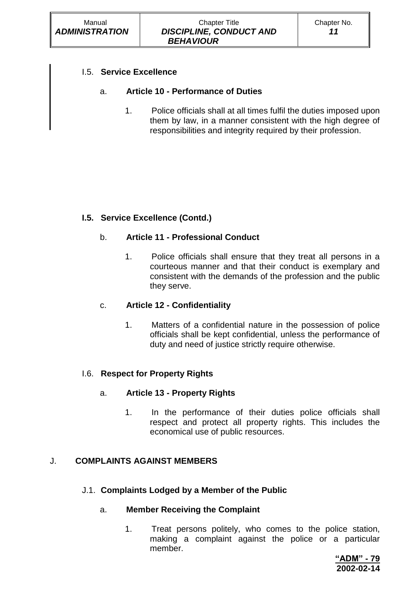# I.5. **Service Excellence**

# a. **Article 10 - Performance of Duties**

1. Police officials shall at all times fulfil the duties imposed upon them by law, in a manner consistent with the high degree of responsibilities and integrity required by their profession.

# **I.5. Service Excellence (Contd.)**

# b. **Article 11 - Professional Conduct**

1. Police officials shall ensure that they treat all persons in a courteous manner and that their conduct is exemplary and consistent with the demands of the profession and the public they serve.

# c. **Article 12 - Confidentiality**

1. Matters of a confidential nature in the possession of police officials shall be kept confidential, unless the performance of duty and need of justice strictly require otherwise.

# I.6. **Respect for Property Rights**

# a. **Article 13 - Property Rights**

1. In the performance of their duties police officials shall respect and protect all property rights. This includes the economical use of public resources.

# J. **COMPLAINTS AGAINST MEMBERS**

# J.1. **Complaints Lodged by a Member of the Public**

### a. **Member Receiving the Complaint**

1. Treat persons politely, who comes to the police station, making a complaint against the police or a particular member.

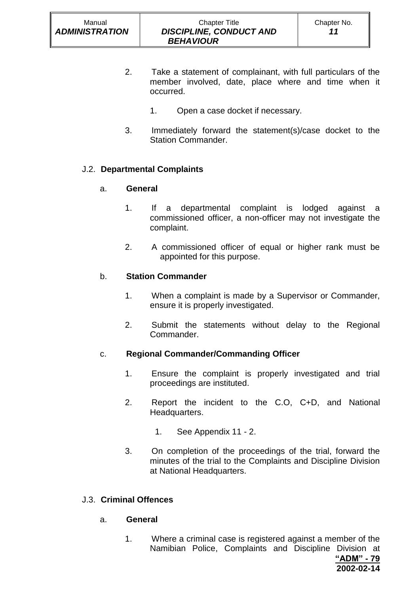- 2. Take a statement of complainant, with full particulars of the member involved, date, place where and time when it occurred.
	- 1. Open a case docket if necessary.
- 3. Immediately forward the statement(s)/case docket to the Station Commander.

# J.2. **Departmental Complaints**

### a. **General**

- 1. If a departmental complaint is lodged against a commissioned officer, a non-officer may not investigate the complaint.
- 2. A commissioned officer of equal or higher rank must be appointed for this purpose.

### b. **Station Commander**

- 1. When a complaint is made by a Supervisor or Commander, ensure it is properly investigated.
- 2. Submit the statements without delay to the Regional Commander.

### c. **Regional Commander/Commanding Officer**

- 1. Ensure the complaint is properly investigated and trial proceedings are instituted.
- 2. Report the incident to the C.O, C+D, and National Headquarters.
	- 1. See Appendix 11 2.
- 3. On completion of the proceedings of the trial, forward the minutes of the trial to the Complaints and Discipline Division at National Headquarters.

### J.3. **Criminal Offences**

#### a. **General**

1. Where a criminal case is registered against a member of the Namibian Police, Complaints and Discipline Division at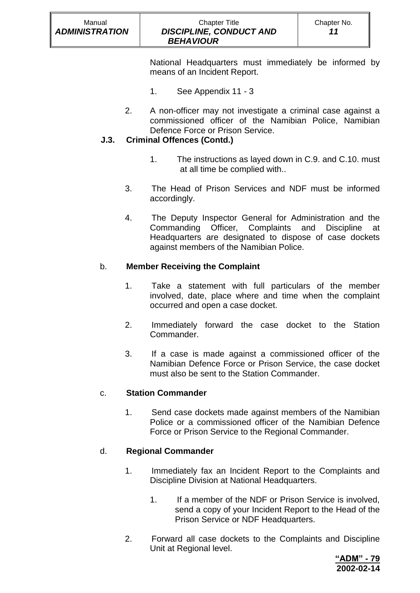#### Chapter Title *DISCIPLINE, CONDUCT AND BEHAVIOUR*

National Headquarters must immediately be informed by means of an Incident Report.

- 1. See Appendix 11 3
- 2. A non-officer may not investigate a criminal case against a commissioned officer of the Namibian Police, Namibian Defence Force or Prison Service.

# **J.3. Criminal Offences (Contd.)**

- 1. The instructions as layed down in C.9. and C.10. must at all time be complied with..
- 3. The Head of Prison Services and NDF must be informed accordingly.
- 4. The Deputy Inspector General for Administration and the Commanding Officer, Complaints and Discipline at Headquarters are designated to dispose of case dockets against members of the Namibian Police.

# b. **Member Receiving the Complaint**

- 1. Take a statement with full particulars of the member involved, date, place where and time when the complaint occurred and open a case docket.
- 2. Immediately forward the case docket to the Station Commander.
- 3. If a case is made against a commissioned officer of the Namibian Defence Force or Prison Service, the case docket must also be sent to the Station Commander.

# c. **Station Commander**

1. Send case dockets made against members of the Namibian Police or a commissioned officer of the Namibian Defence Force or Prison Service to the Regional Commander.

# d. **Regional Commander**

- 1. Immediately fax an Incident Report to the Complaints and Discipline Division at National Headquarters.
	- 1. If a member of the NDF or Prison Service is involved, send a copy of your Incident Report to the Head of the Prison Service or NDF Headquarters.
- 2. Forward all case dockets to the Complaints and Discipline Unit at Regional level.

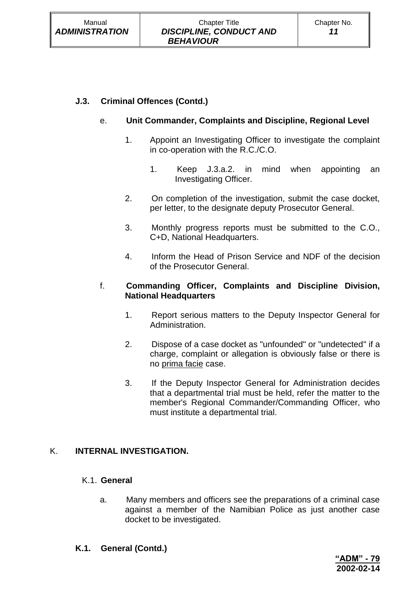# **J.3. Criminal Offences (Contd.)**

# e. **Unit Commander, Complaints and Discipline, Regional Level**

- 1. Appoint an Investigating Officer to investigate the complaint in co-operation with the R.C./C.O.
	- 1. Keep J.3.a.2. in mind when appointing an Investigating Officer.
- 2. On completion of the investigation, submit the case docket, per letter, to the designate deputy Prosecutor General.
- 3. Monthly progress reports must be submitted to the C.O., C+D, National Headquarters.
- 4. Inform the Head of Prison Service and NDF of the decision of the Prosecutor General.

### f. **Commanding Officer, Complaints and Discipline Division, National Headquarters**

- 1. Report serious matters to the Deputy Inspector General for Administration.
- 2. Dispose of a case docket as "unfounded" or "undetected" if a charge, complaint or allegation is obviously false or there is no prima facie case.
- 3. If the Deputy Inspector General for Administration decides that a departmental trial must be held, refer the matter to the member's Regional Commander/Commanding Officer, who must institute a departmental trial.

# K. **INTERNAL INVESTIGATION.**

### K.1. **General**

a. Many members and officers see the preparations of a criminal case against a member of the Namibian Police as just another case docket to be investigated.

# **K.1. General (Contd.)**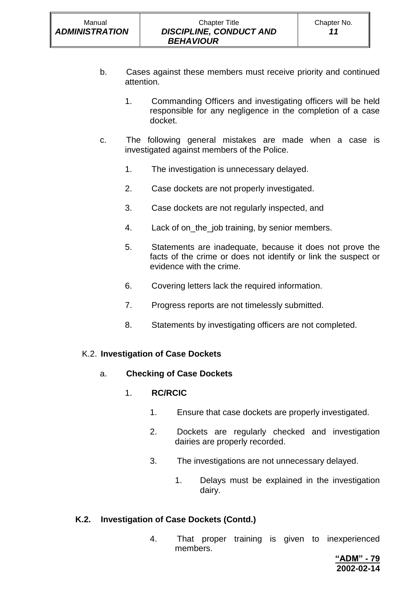- b. Cases against these members must receive priority and continued attention.
	- 1. Commanding Officers and investigating officers will be held responsible for any negligence in the completion of a case docket.
- c. The following general mistakes are made when a case is investigated against members of the Police.
	- 1. The investigation is unnecessary delayed.
	- 2. Case dockets are not properly investigated.
	- 3. Case dockets are not regularly inspected, and
	- 4. Lack of on the job training, by senior members.
	- 5. Statements are inadequate, because it does not prove the facts of the crime or does not identify or link the suspect or evidence with the crime.
	- 6. Covering letters lack the required information.
	- 7. Progress reports are not timelessly submitted.
	- 8. Statements by investigating officers are not completed.

### K.2. **Investigation of Case Dockets**

a. **Checking of Case Dockets**

# 1. **RC/RCIC**

- 1. Ensure that case dockets are properly investigated.
- 2. Dockets are regularly checked and investigation dairies are properly recorded.
- 3. The investigations are not unnecessary delayed.
	- 1. Delays must be explained in the investigation dairy.

# **K.2. Investigation of Case Dockets (Contd.)**

4. That proper training is given to inexperienced members.

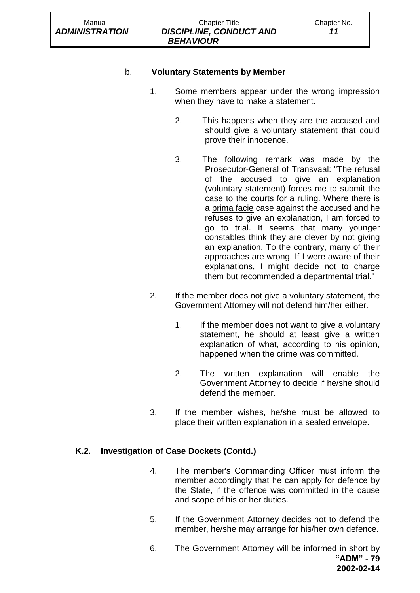# b. **Voluntary Statements by Member**

- 1. Some members appear under the wrong impression when they have to make a statement.
	- 2. This happens when they are the accused and should give a voluntary statement that could prove their innocence.
	- 3. The following remark was made by the Prosecutor-General of Transvaal: "The refusal of the accused to give an explanation (voluntary statement) forces me to submit the case to the courts for a ruling. Where there is a prima facie case against the accused and he refuses to give an explanation, I am forced to go to trial. It seems that many younger constables think they are clever by not giving an explanation. To the contrary, many of their approaches are wrong. If I were aware of their explanations, I might decide not to charge them but recommended a departmental trial."
- 2. If the member does not give a voluntary statement, the Government Attorney will not defend him/her either.
	- 1. If the member does not want to give a voluntary statement, he should at least give a written explanation of what, according to his opinion, happened when the crime was committed.
	- 2. The written explanation will enable the Government Attorney to decide if he/she should defend the member.
- 3. If the member wishes, he/she must be allowed to place their written explanation in a sealed envelope.

### **K.2. Investigation of Case Dockets (Contd.)**

- 4. The member's Commanding Officer must inform the member accordingly that he can apply for defence by the State, if the offence was committed in the cause and scope of his or her duties.
- 5. If the Government Attorney decides not to defend the member, he/she may arrange for his/her own defence.
- **"ADM" - 79 2002-02-14** 6. The Government Attorney will be informed in short by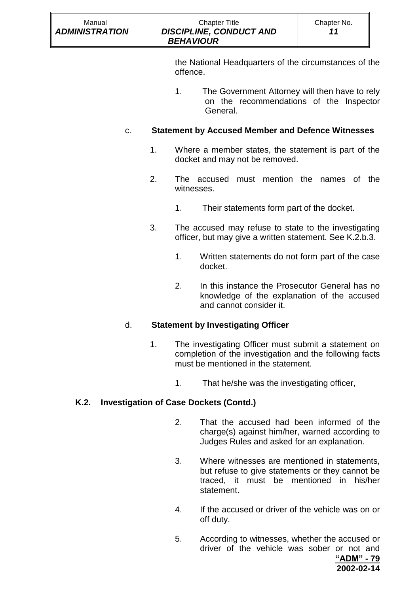the National Headquarters of the circumstances of the offence.

1. The Government Attorney will then have to rely on the recommendations of the Inspector General.

# c. **Statement by Accused Member and Defence Witnesses**

- 1. Where a member states, the statement is part of the docket and may not be removed.
- 2. The accused must mention the names of the witnesses.
	- 1. Their statements form part of the docket.
- 3. The accused may refuse to state to the investigating officer, but may give a written statement. See K.2.b.3.
	- 1. Written statements do not form part of the case docket.
	- 2. In this instance the Prosecutor General has no knowledge of the explanation of the accused and cannot consider it.

# d. **Statement by Investigating Officer**

- 1. The investigating Officer must submit a statement on completion of the investigation and the following facts must be mentioned in the statement.
	- 1. That he/she was the investigating officer,

# **K.2. Investigation of Case Dockets (Contd.)**

- 2. That the accused had been informed of the charge(s) against him/her, warned according to Judges Rules and asked for an explanation.
- 3. Where witnesses are mentioned in statements, but refuse to give statements or they cannot be traced, it must be mentioned in his/her statement.
- 4. If the accused or driver of the vehicle was on or off duty.
- 5. According to witnesses, whether the accused or driver of the vehicle was sober or not and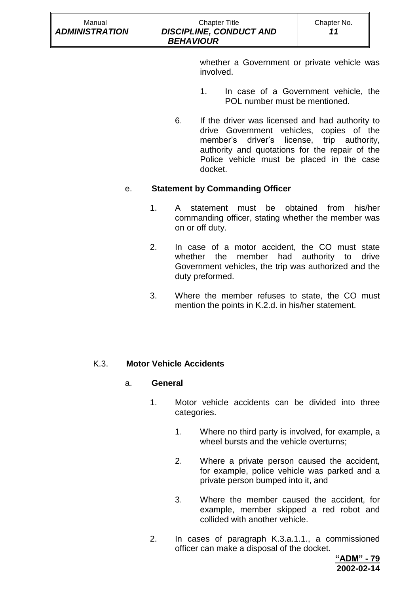whether a Government or private vehicle was involved.

- 1. In case of a Government vehicle, the POL number must be mentioned.
- 6. If the driver was licensed and had authority to drive Government vehicles, copies of the member's driver's license, trip authority, authority and quotations for the repair of the Police vehicle must be placed in the case docket.

# e. **Statement by Commanding Officer**

- 1. A statement must be obtained from his/her commanding officer, stating whether the member was on or off duty.
- 2. In case of a motor accident, the CO must state whether the member had authority to drive Government vehicles, the trip was authorized and the duty preformed.
- 3. Where the member refuses to state, the CO must mention the points in K.2.d. in his/her statement.

# K.3. **Motor Vehicle Accidents**

# a. **General**

- 1. Motor vehicle accidents can be divided into three categories.
	- 1. Where no third party is involved, for example, a wheel bursts and the vehicle overturns;
	- 2. Where a private person caused the accident, for example, police vehicle was parked and a private person bumped into it, and
	- 3. Where the member caused the accident, for example, member skipped a red robot and collided with another vehicle.
- 2. In cases of paragraph K.3.a.1.1., a commissioned officer can make a disposal of the docket.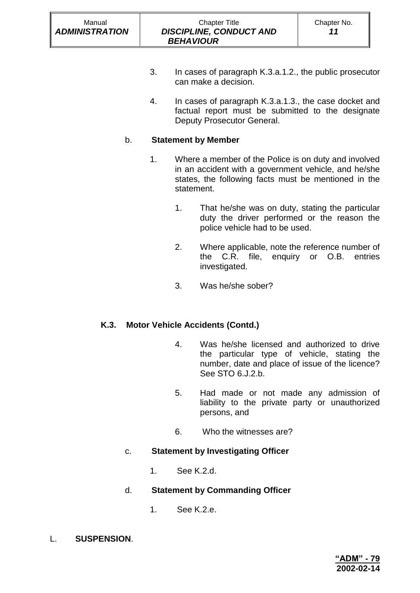- 3. In cases of paragraph K.3.a.1.2., the public prosecutor can make a decision.
- 4. In cases of paragraph K.3.a.1.3., the case docket and factual report must be submitted to the designate Deputy Prosecutor General.

# b. **Statement by Member**

- 1. Where a member of the Police is on duty and involved in an accident with a government vehicle, and he/she states, the following facts must be mentioned in the statement.
	- 1. That he/she was on duty, stating the particular duty the driver performed or the reason the police vehicle had to be used.
	- 2. Where applicable, note the reference number of the C.R. file, enquiry or O.B. entries investigated.
	- 3. Was he/she sober?

# **K.3. Motor Vehicle Accidents (Contd.)**

- 4. Was he/she licensed and authorized to drive the particular type of vehicle, stating the number, date and place of issue of the licence? See STO 6.J.2.b.
- 5. Had made or not made any admission of liability to the private party or unauthorized persons, and
- 6. Who the witnesses are?

# c. **Statement by Investigating Officer**

1. See K.2.d.

# d. **Statement by Commanding Officer**

- 1. See K.2.e.
- L. **SUSPENSION**.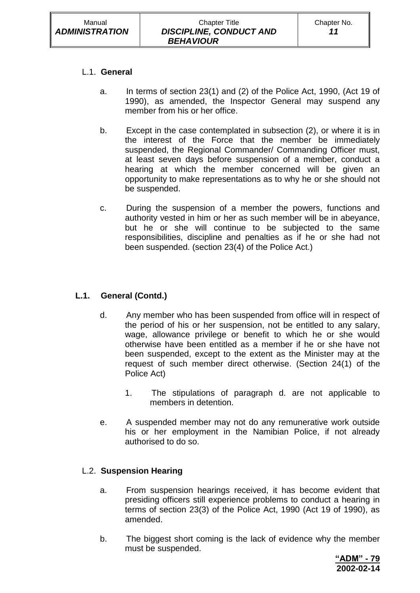### L.1. **General**

- a. In terms of section 23(1) and (2) of the Police Act, 1990, (Act 19 of 1990), as amended, the Inspector General may suspend any member from his or her office.
- b. Except in the case contemplated in subsection (2), or where it is in the interest of the Force that the member be immediately suspended, the Regional Commander/ Commanding Officer must, at least seven days before suspension of a member, conduct a hearing at which the member concerned will be given an opportunity to make representations as to why he or she should not be suspended.
- c. During the suspension of a member the powers, functions and authority vested in him or her as such member will be in abeyance, but he or she will continue to be subjected to the same responsibilities, discipline and penalties as if he or she had not been suspended. (section 23(4) of the Police Act.)

# **L.1. General (Contd.)**

- d. Any member who has been suspended from office will in respect of the period of his or her suspension, not be entitled to any salary, wage, allowance privilege or benefit to which he or she would otherwise have been entitled as a member if he or she have not been suspended, except to the extent as the Minister may at the request of such member direct otherwise. (Section 24(1) of the Police Act)
	- 1. The stipulations of paragraph d. are not applicable to members in detention.
- e. A suspended member may not do any remunerative work outside his or her employment in the Namibian Police, if not already authorised to do so.

### L.2. **Suspension Hearing**

- a. From suspension hearings received, it has become evident that presiding officers still experience problems to conduct a hearing in terms of section 23(3) of the Police Act, 1990 (Act 19 of 1990), as amended.
- b. The biggest short coming is the lack of evidence why the member must be suspended.

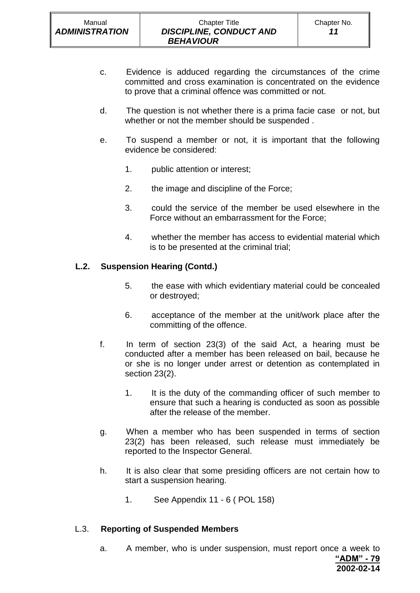- c. Evidence is adduced regarding the circumstances of the crime committed and cross examination is concentrated on the evidence to prove that a criminal offence was committed or not.
- d. The question is not whether there is a prima facie case or not, but whether or not the member should be suspended .
- e. To suspend a member or not, it is important that the following evidence be considered:
	- 1. public attention or interest;
	- 2. the image and discipline of the Force;
	- 3. could the service of the member be used elsewhere in the Force without an embarrassment for the Force;
	- 4. whether the member has access to evidential material which is to be presented at the criminal trial;

# **L.2. Suspension Hearing (Contd.)**

- 5. the ease with which evidentiary material could be concealed or destroyed;
- 6. acceptance of the member at the unit/work place after the committing of the offence.
- f. In term of section 23(3) of the said Act, a hearing must be conducted after a member has been released on bail, because he or she is no longer under arrest or detention as contemplated in section 23(2).
	- 1. It is the duty of the commanding officer of such member to ensure that such a hearing is conducted as soon as possible after the release of the member.
- g. When a member who has been suspended in terms of section 23(2) has been released, such release must immediately be reported to the Inspector General.
- h. It is also clear that some presiding officers are not certain how to start a suspension hearing.
	- 1. See Appendix 11 6 ( POL 158)

### L.3. **Reporting of Suspended Members**

**"ADM" - 79** a. A member, who is under suspension, must report once a week to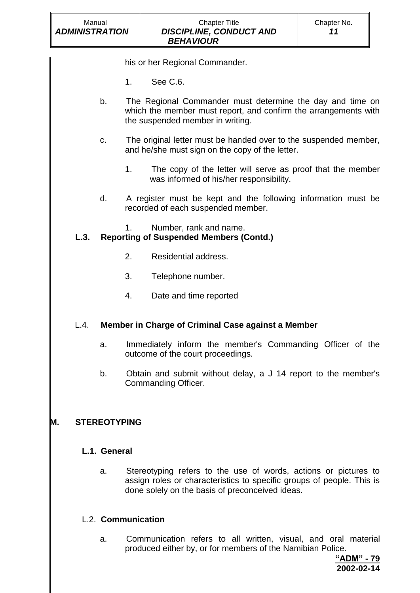his or her Regional Commander.

- 1. See C.6.
- b. The Regional Commander must determine the day and time on which the member must report, and confirm the arrangements with the suspended member in writing.
- c. The original letter must be handed over to the suspended member, and he/she must sign on the copy of the letter.
	- 1. The copy of the letter will serve as proof that the member was informed of his/her responsibility.
- d. A register must be kept and the following information must be recorded of each suspended member.
	- 1. Number, rank and name.

# **L.3. Reporting of Suspended Members (Contd.)**

- 2. Residential address.
- 3. Telephone number.
- 4. Date and time reported

# L.4. **Member in Charge of Criminal Case against a Member**

- a. Immediately inform the member's Commanding Officer of the outcome of the court proceedings.
- b. Obtain and submit without delay, a J 14 report to the member's Commanding Officer.

# **M. STEREOTYPING**

### **L.1. General**

a. Stereotyping refers to the use of words, actions or pictures to assign roles or characteristics to specific groups of people. This is done solely on the basis of preconceived ideas.

# L.2. **Communication**

a. Communication refers to all written, visual, and oral material produced either by, or for members of the Namibian Police.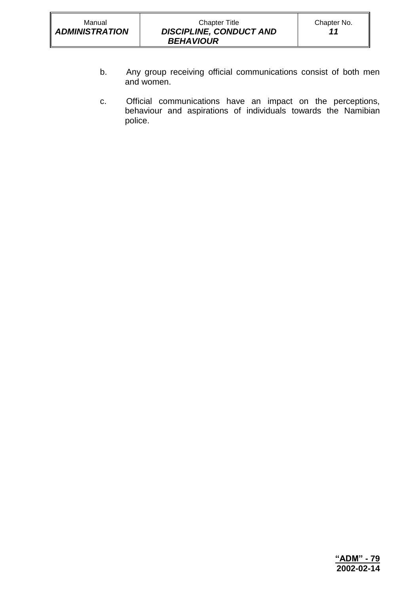- b. Any group receiving official communications consist of both men and women.
- c. Official communications have an impact on the perceptions, behaviour and aspirations of individuals towards the Namibian police.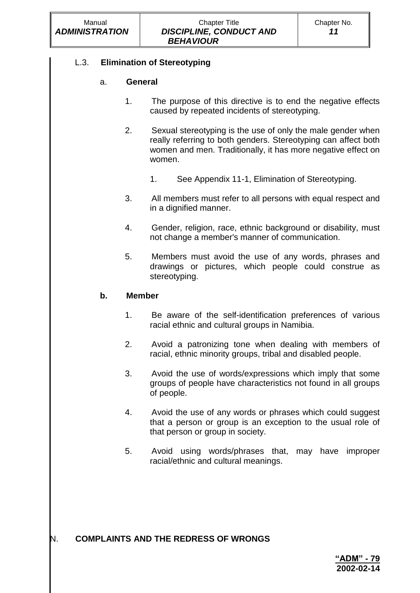# L.3. **Elimination of Stereotyping**

# a. **General**

- 1. The purpose of this directive is to end the negative effects caused by repeated incidents of stereotyping.
- 2. Sexual stereotyping is the use of only the male gender when really referring to both genders. Stereotyping can affect both women and men. Traditionally, it has more negative effect on women.
	- 1. See Appendix 11-1, Elimination of Stereotyping.
- 3. All members must refer to all persons with equal respect and in a dignified manner.
- 4. Gender, religion, race, ethnic background or disability, must not change a member's manner of communication.
- 5. Members must avoid the use of any words, phrases and drawings or pictures, which people could construe as stereotyping.

# **b. Member**

- 1. Be aware of the self-identification preferences of various racial ethnic and cultural groups in Namibia.
- 2. Avoid a patronizing tone when dealing with members of racial, ethnic minority groups, tribal and disabled people.
- 3. Avoid the use of words/expressions which imply that some groups of people have characteristics not found in all groups of people.
- 4. Avoid the use of any words or phrases which could suggest that a person or group is an exception to the usual role of that person or group in society.
- 5. Avoid using words/phrases that, may have improper racial/ethnic and cultural meanings.

# N. **COMPLAINTS AND THE REDRESS OF WRONGS**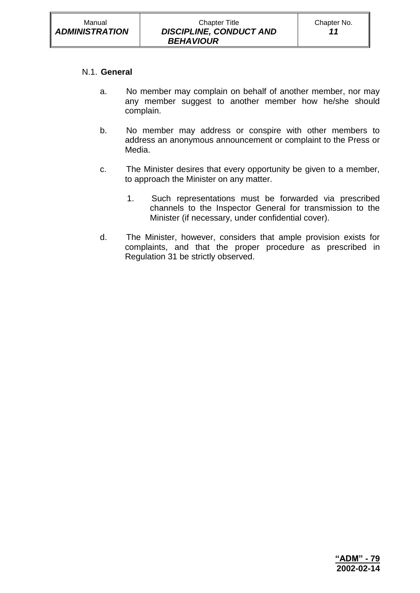#### N.1. **General**

- a. No member may complain on behalf of another member, nor may any member suggest to another member how he/she should complain.
- b. No member may address or conspire with other members to address an anonymous announcement or complaint to the Press or Media.
- c. The Minister desires that every opportunity be given to a member, to approach the Minister on any matter.
	- 1. Such representations must be forwarded via prescribed channels to the Inspector General for transmission to the Minister (if necessary, under confidential cover).
- d. The Minister, however, considers that ample provision exists for complaints, and that the proper procedure as prescribed in Regulation 31 be strictly observed.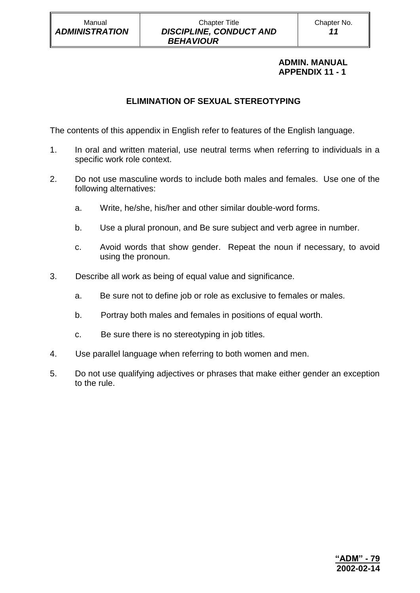### **ADMIN. MANUAL APPENDIX 11 - 1**

# **ELIMINATION OF SEXUAL STEREOTYPING**

The contents of this appendix in English refer to features of the English language.

- 1. In oral and written material, use neutral terms when referring to individuals in a specific work role context.
- 2. Do not use masculine words to include both males and females. Use one of the following alternatives:
	- a. Write, he/she, his/her and other similar double-word forms.
	- b. Use a plural pronoun, and Be sure subject and verb agree in number.
	- c. Avoid words that show gender. Repeat the noun if necessary, to avoid using the pronoun.
- 3. Describe all work as being of equal value and significance.
	- a. Be sure not to define job or role as exclusive to females or males.
	- b. Portray both males and females in positions of equal worth.
	- c. Be sure there is no stereotyping in job titles.
- 4. Use parallel language when referring to both women and men.
- 5. Do not use qualifying adjectives or phrases that make either gender an exception to the rule.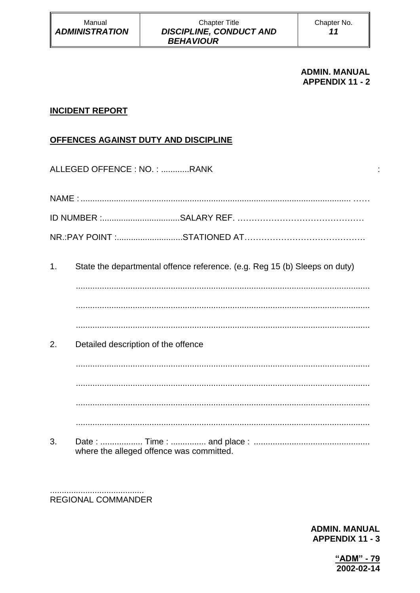#### **ADMIN. MANUAL APPENDIX 11 - 2**

÷

# **INCIDENT REPORT**

# OFFENCES AGAINST DUTY AND DISCIPLINE

ALLEGED OFFENCE: NO.: ...........RANK

 $1<sub>1</sub>$ State the departmental offence reference. (e.g. Reg 15 (b) Sleeps on duty)

 $2.$ Detailed description of the offence

3. where the alleged offence was committed.

**REGIONAL COMMANDER** 

> **ADMIN. MANUAL APPENDIX 11 - 3**

> > "ADM" - 79 2002-02-14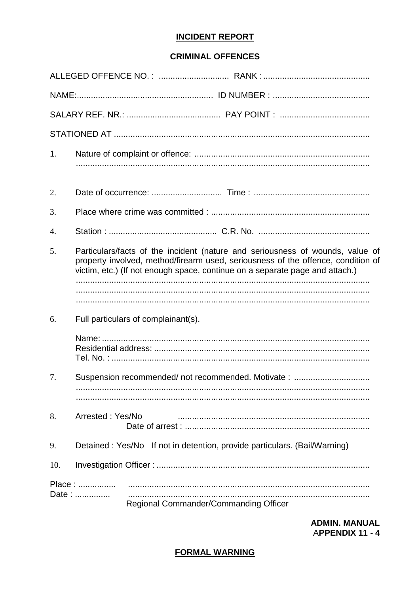# **INCIDENT REPORT**

# **CRIMINAL OFFENCES**

| 1.  |                                                                                                                                                                                                                                                   |
|-----|---------------------------------------------------------------------------------------------------------------------------------------------------------------------------------------------------------------------------------------------------|
| 2.  |                                                                                                                                                                                                                                                   |
| 3.  |                                                                                                                                                                                                                                                   |
| 4.  |                                                                                                                                                                                                                                                   |
| 5.  | Particulars/facts of the incident (nature and seriousness of wounds, value of<br>property involved, method/firearm used, seriousness of the offence, condition of<br>victim, etc.) (If not enough space, continue on a separate page and attach.) |
|     |                                                                                                                                                                                                                                                   |
| 6.  | Full particulars of complainant(s).                                                                                                                                                                                                               |
|     |                                                                                                                                                                                                                                                   |
| 7.  | Suspension recommended/not recommended. Motivate:                                                                                                                                                                                                 |
| 8.  | Arrested: Yes/No                                                                                                                                                                                                                                  |
| 9.  | Detained: Yes/No If not in detention, provide particulars. (Bail/Warning)                                                                                                                                                                         |
| 10. |                                                                                                                                                                                                                                                   |
|     | Place:<br>Date:<br>Regional Commander/Commanding Officer                                                                                                                                                                                          |

**ADMIN. MANUAL APPENDIX 11 - 4** 

# **FORMAL WARNING**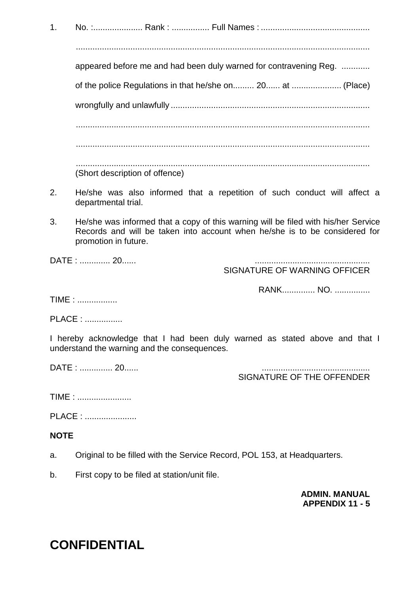1. No. :..................... Rank : ................ Full Names : .............................................. ............................................................................................................................ appeared before me and had been duly warned for contravening Reg. ............ of the police Regulations in that he/she on......... 20...... at ..................... (Place) wrongfully and unlawfully .................................................................................... ............................................................................................................................ ............................................................................................................................ ............................................................................................................................ (Short description of offence)

- 2. He/she was also informed that a repetition of such conduct will affect a departmental trial.
- 3. He/she was informed that a copy of this warning will be filed with his/her Service Records and will be taken into account when he/she is to be considered for promotion in future.

DATE : .............. 20......

SIGNATURE OF WARNING OFFICER

RANK.............. NO. ...............

TIME : .................

PLACE : ................

I hereby acknowledge that I had been duly warned as stated above and that I understand the warning and the consequences.

DATE : .............. 20...... ..............................................

SIGNATURE OF THE OFFENDER

TIME : .......................

PLACE : ......................

# **NOTE**

- a. Original to be filled with the Service Record, POL 153, at Headquarters.
- b. First copy to be filed at station/unit file.

**ADMIN. MANUAL APPENDIX 11 - 5**

# **CONFIDENTIAL**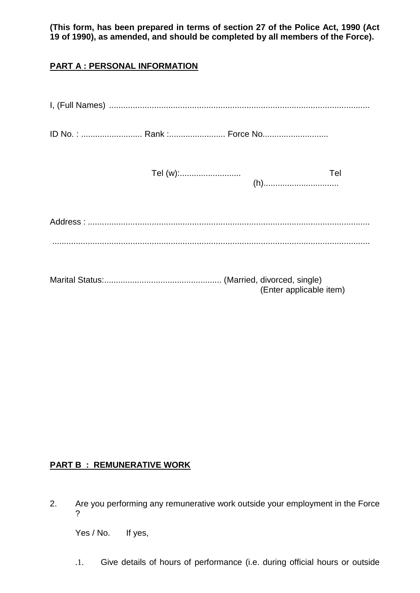**(This form, has been prepared in terms of section 27 of the Police Act, 1990 (Act 19 of 1990), as amended, and should be completed by all members of the Force).**

# **PART A : PERSONAL INFORMATION**

| ID No.:  Rank : Force No |                         |
|--------------------------|-------------------------|
|                          | Tel                     |
|                          |                         |
|                          |                         |
|                          | (Enter applicable item) |

# **PART B : REMUNERATIVE WORK**

2. Are you performing any remunerative work outside your employment in the Force ?

Yes / No. If yes,

.1. Give details of hours of performance (i.e. during official hours or outside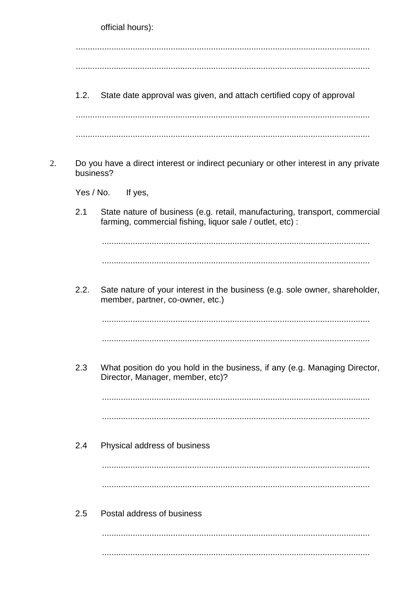official hours):

 $1.2.$ State date approval was given, and attach certified copy of approval

Do you have a direct interest or indirect pecuniary or other interest in any private  $\overline{2}$ . husiness?

 $Yes / No.$ If yes,

 $2.1$ State nature of business (e.g. retail, manufacturing, transport, commercial farming, commercial fishing, liquor sale / outlet, etc) :

 $2.2.$ Sate nature of your interest in the business (e.g. sole owner, shareholder, member, partner, co-owner, etc.)

- 
- 2.3 What position do you hold in the business, if any (e.g. Managing Director, Director, Manager, member, etc)?

 $2.4$ Physical address of business

Postal address of business  $2.5$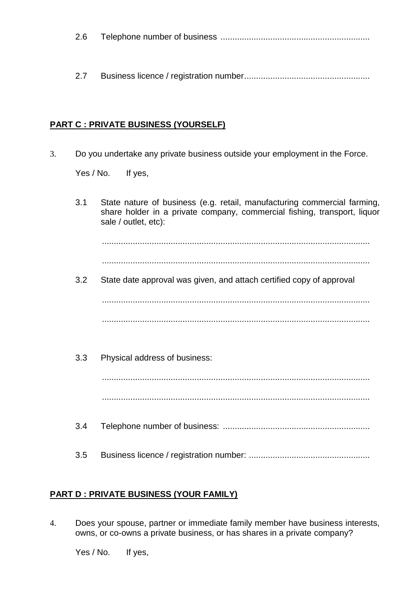| 2.6 |  |  |
|-----|--|--|
|-----|--|--|

2.7 Business licence / registration number.....................................................

### **PART C : PRIVATE BUSINESS (YOURSELF)**

3. Do you undertake any private business outside your employment in the Force.

Yes / No. If yes,

3.1 State nature of business (e.g. retail, manufacturing commercial farming, share holder in a private company, commercial fishing, transport, liquor sale / outlet, etc): ................................................................................................................. ................................................................................................................. 3.2 State date approval was given, and attach certified copy of approval

................................................................................................................. .................................................................................................................

3.3 Physical address of business:

.................................................................................................................

.................................................................................................................

- 3.4 Telephone number of business: ..............................................................
- 3.5 Business licence / registration number: ...................................................

# **PART D : PRIVATE BUSINESS (YOUR FAMILY)**

4. Does your spouse, partner or immediate family member have business interests, owns, or co-owns a private business, or has shares in a private company?

Yes / No. If yes,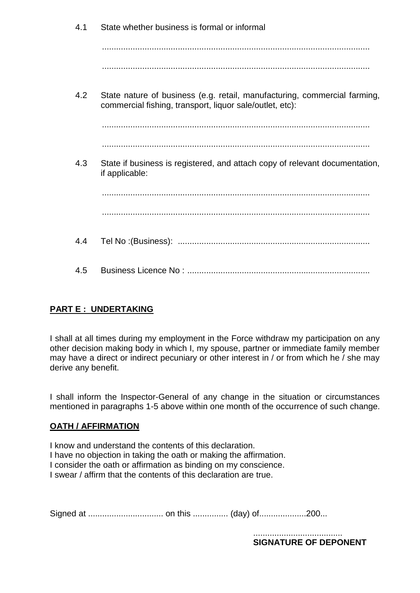| 4.1 | State whether business is formal or informal                                                                                          |
|-----|---------------------------------------------------------------------------------------------------------------------------------------|
|     |                                                                                                                                       |
|     |                                                                                                                                       |
| 4.2 | State nature of business (e.g. retail, manufacturing, commercial farming,<br>commercial fishing, transport, liquor sale/outlet, etc): |
|     |                                                                                                                                       |
|     |                                                                                                                                       |
| 4.3 | State if business is registered, and attach copy of relevant documentation,<br>if applicable:                                         |
|     |                                                                                                                                       |
|     |                                                                                                                                       |
| 4.4 |                                                                                                                                       |
| 4.5 |                                                                                                                                       |

# **PART E : UNDERTAKING**

I shall at all times during my employment in the Force withdraw my participation on any other decision making body in which I, my spouse, partner or immediate family member may have a direct or indirect pecuniary or other interest in / or from which he / she may derive any benefit.

I shall inform the Inspector-General of any change in the situation or circumstances mentioned in paragraphs 1-5 above within one month of the occurrence of such change.

# **OATH / AFFIRMATION**

I know and understand the contents of this declaration. I have no objection in taking the oath or making the affirmation. I consider the oath or affirmation as binding on my conscience. I swear / affirm that the contents of this declaration are true.

Signed at ................................ on this ............... (day) of....................200...

...................................... **SIGNATURE OF DEPONENT**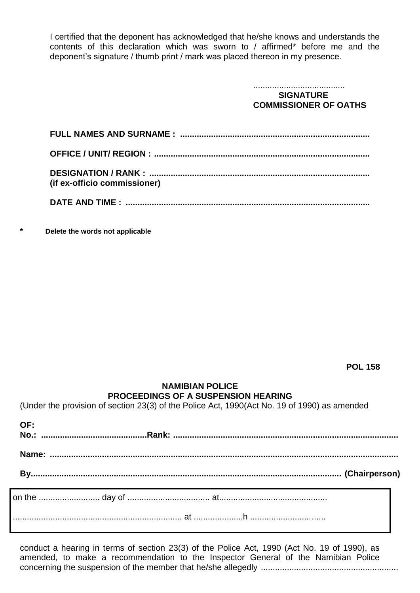I certified that the deponent has acknowledged that he/she knows and understands the contents of this declaration which was sworn to / affirmed\* before me and the deponent's signature / thumb print / mark was placed thereon in my presence.

| <b>SIGNATURE</b>             |
|------------------------------|
| <b>COMMISSIONER OF OATHS</b> |

| (if ex-officio commissioner) |
|------------------------------|
|                              |
|                              |

**\* Delete the words not applicable**

**POL 158**

### **NAMIBIAN POLICE PROCEEDINGS OF A SUSPENSION HEARING**

(Under the provision of section 23(3) of the Police Act, 1990(Act No. 19 of 1990) as amended

| OF: |  |
|-----|--|
|     |  |
|     |  |
|     |  |
|     |  |

conduct a hearing in terms of section 23(3) of the Police Act, 1990 (Act No. 19 of 1990), as amended, to make a recommendation to the Inspector General of the Namibian Police concerning the suspension of the member that he/she allegedly ..........................................................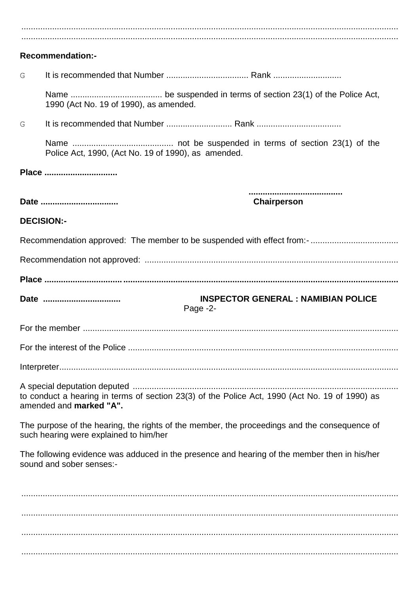|                   | <b>Recommendation:-</b>                                                                                                                |
|-------------------|----------------------------------------------------------------------------------------------------------------------------------------|
| G                 |                                                                                                                                        |
|                   | 1990 (Act No. 19 of 1990), as amended.                                                                                                 |
| G                 |                                                                                                                                        |
|                   | Police Act, 1990, (Act No. 19 of 1990), as amended.                                                                                    |
|                   | Place                                                                                                                                  |
|                   |                                                                                                                                        |
|                   | Date<br>Chairperson                                                                                                                    |
|                   |                                                                                                                                        |
| <b>DECISION:-</b> |                                                                                                                                        |
|                   |                                                                                                                                        |
|                   |                                                                                                                                        |
|                   |                                                                                                                                        |
|                   | <b>INSPECTOR GENERAL : NAMIBIAN POLICE</b><br>Date<br>Page -2-                                                                         |
|                   |                                                                                                                                        |
|                   |                                                                                                                                        |
|                   |                                                                                                                                        |
|                   |                                                                                                                                        |
|                   | to conduct a hearing in terms of section 23(3) of the Police Act, 1990 (Act No. 19 of 1990) as<br>amended and marked "A".              |
|                   | The purpose of the hearing, the rights of the member, the proceedings and the consequence of<br>such hearing were explained to him/her |
|                   | The following evidence was adduced in the presence and hearing of the member then in his/her<br>sound and sober senses:-               |
|                   |                                                                                                                                        |
|                   |                                                                                                                                        |
|                   |                                                                                                                                        |